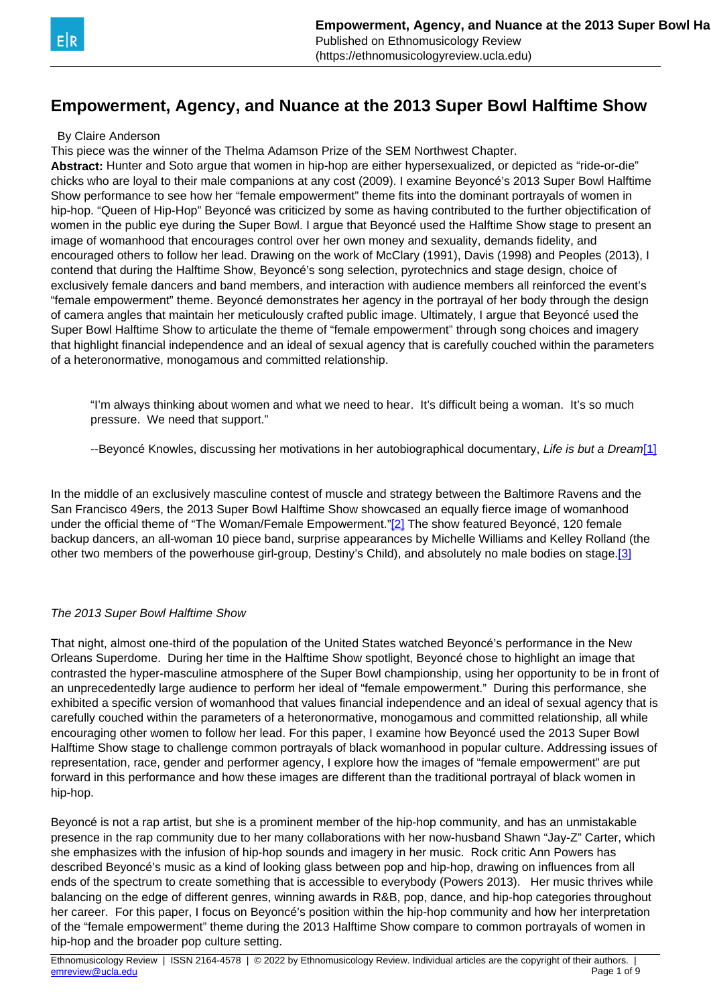# <span id="page-0-0"></span>**Empowerment, Agency, and Nuance at the 2013 Super Bowl Halftime Show**

#### By Claire Anderson

This piece was the winner of the Thelma Adamson Prize of the SEM Northwest Chapter.

**Abstract:** Hunter and Soto argue that women in hip-hop are either hypersexualized, or depicted as "ride-or-die" chicks who are loyal to their male companions at any cost (2009). I examine Beyoncé's 2013 Super Bowl Halftime Show performance to see how her "female empowerment" theme fits into the dominant portrayals of women in hip-hop. "Queen of Hip-Hop" Beyoncé was criticized by some as having contributed to the further objectification of women in the public eye during the Super Bowl. I argue that Beyoncé used the Halftime Show stage to present an image of womanhood that encourages control over her own money and sexuality, demands fidelity, and encouraged others to follow her lead. Drawing on the work of McClary (1991), Davis (1998) and Peoples (2013), I contend that during the Halftime Show, Beyoncé's song selection, pyrotechnics and stage design, choice of exclusively female dancers and band members, and interaction with audience members all reinforced the event's "female empowerment" theme. Beyoncé demonstrates her agency in the portrayal of her body through the design of camera angles that maintain her meticulously crafted public image. Ultimately, I argue that Beyoncé used the Super Bowl Halftime Show to articulate the theme of "female empowerment" through song choices and imagery that highlight financial independence and an ideal of sexual agency that is carefully couched within the parameters of a heteronormative, monogamous and committed relationship.

"I'm always thinking about women and what we need to hear. It's difficult being a woman. It's so much pressure. We need that support."

--Beyoncé Knowles, discussing her motivations in her autobiographical documentary, Life is but a Dream[\[1\]](#page-0-0)

In the middle of an exclusively masculine contest of muscle and strategy between the Baltimore Ravens and the San Francisco 49ers, the 2013 Super Bowl Halftime Show showcased an equally fierce image of womanhood under the official theme of "The Woman/Female Empowerment."[\[2\]](#page-0-0) The show featured Beyoncé, 120 female backup dancers, an all-woman 10 piece band, surprise appearances by Michelle Williams and Kelley Rolland (the other two members of the powerhouse girl-group, Destiny's Child), and absolutely no male bodies on stage.[\[3\]](#page-0-0)

#### The 2013 Super Bowl Halftime Show

That night, almost one-third of the population of the United States watched Beyoncé's performance in the New Orleans Superdome. During her time in the Halftime Show spotlight, Beyoncé chose to highlight an image that contrasted the hyper-masculine atmosphere of the Super Bowl championship, using her opportunity to be in front of an unprecedentedly large audience to perform her ideal of "female empowerment." During this performance, she exhibited a specific version of womanhood that values financial independence and an ideal of sexual agency that is carefully couched within the parameters of a heteronormative, monogamous and committed relationship, all while encouraging other women to follow her lead. For this paper, I examine how Beyoncé used the 2013 Super Bowl Halftime Show stage to challenge common portrayals of black womanhood in popular culture. Addressing issues of representation, race, gender and performer agency, I explore how the images of "female empowerment" are put forward in this performance and how these images are different than the traditional portrayal of black women in hip-hop.

Beyoncé is not a rap artist, but she is a prominent member of the hip-hop community, and has an unmistakable presence in the rap community due to her many collaborations with her now-husband Shawn "Jay-Z" Carter, which she emphasizes with the infusion of hip-hop sounds and imagery in her music. Rock critic Ann Powers has described Beyoncé's music as a kind of looking glass between pop and hip-hop, drawing on influences from all ends of the spectrum to create something that is accessible to everybody (Powers 2013). Her music thrives while balancing on the edge of different genres, winning awards in R&B, pop, dance, and hip-hop categories throughout her career. For this paper, I focus on Beyoncé's position within the hip-hop community and how her interpretation of the "female empowerment" theme during the 2013 Halftime Show compare to common portrayals of women in hip-hop and the broader pop culture setting.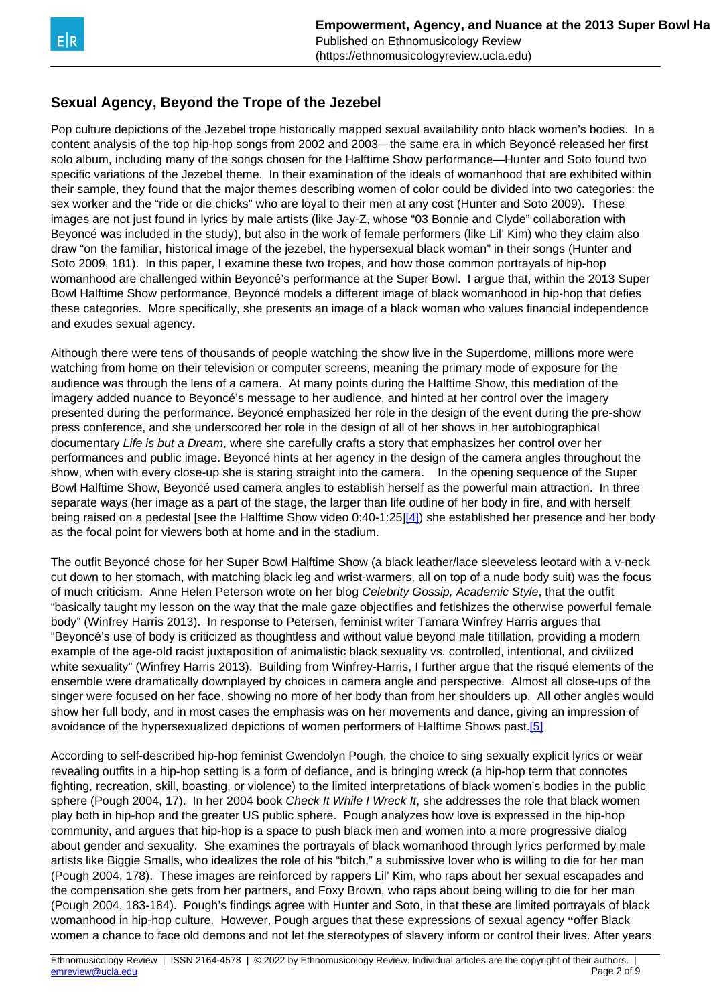## <span id="page-1-0"></span>**Sexual Agency, Beyond the Trope of the Jezebel**

Pop culture depictions of the Jezebel trope historically mapped sexual availability onto black women's bodies. In a content analysis of the top hip-hop songs from 2002 and 2003—the same era in which Beyoncé released her first solo album, including many of the songs chosen for the Halftime Show performance—Hunter and Soto found two specific variations of the Jezebel theme. In their examination of the ideals of womanhood that are exhibited within their sample, they found that the major themes describing women of color could be divided into two categories: the sex worker and the "ride or die chicks" who are loyal to their men at any cost (Hunter and Soto 2009). These images are not just found in lyrics by male artists (like Jay-Z, whose "03 Bonnie and Clyde" collaboration with Beyoncé was included in the study), but also in the work of female performers (like Lil' Kim) who they claim also draw "on the familiar, historical image of the jezebel, the hypersexual black woman" in their songs (Hunter and Soto 2009, 181). In this paper, I examine these two tropes, and how those common portrayals of hip-hop womanhood are challenged within Beyoncé's performance at the Super Bowl. I argue that, within the 2013 Super Bowl Halftime Show performance, Beyoncé models a different image of black womanhood in hip-hop that defies these categories. More specifically, she presents an image of a black woman who values financial independence and exudes sexual agency.

Although there were tens of thousands of people watching the show live in the Superdome, millions more were watching from home on their television or computer screens, meaning the primary mode of exposure for the audience was through the lens of a camera. At many points during the Halftime Show, this mediation of the imagery added nuance to Beyoncé's message to her audience, and hinted at her control over the imagery presented during the performance. Beyoncé emphasized her role in the design of the event during the pre-show press conference, and she underscored her role in the design of all of her shows in her autobiographical documentary Life is but a Dream, where she carefully crafts a story that emphasizes her control over her performances and public image. Beyoncé hints at her agency in the design of the camera angles throughout the show, when with every close-up she is staring straight into the camera. In the opening sequence of the Super Bowl Halftime Show, Beyoncé used camera angles to establish herself as the powerful main attraction. In three separate ways (her image as a part of the stage, the larger than life outline of her body in fire, and with herself being raised on a pedestal [see the Halftime Show video 0:40-1:25][\[4\]\)](#page-1-0) she established her presence and her body as the focal point for viewers both at home and in the stadium.

The outfit Beyoncé chose for her Super Bowl Halftime Show (a black leather/lace sleeveless leotard with a v-neck cut down to her stomach, with matching black leg and wrist-warmers, all on top of a nude body suit) was the focus of much criticism. Anne Helen Peterson wrote on her blog Celebrity Gossip, Academic Style, that the outfit "basically taught my lesson on the way that the male gaze objectifies and fetishizes the otherwise powerful female body" (Winfrey Harris 2013). In response to Petersen, feminist writer Tamara Winfrey Harris argues that "Beyoncé's use of body is criticized as thoughtless and without value beyond male titillation, providing a modern example of the age-old racist juxtaposition of animalistic black sexuality vs. controlled, intentional, and civilized white sexuality" (Winfrey Harris 2013). Building from Winfrey-Harris, I further argue that the risqué elements of the ensemble were dramatically downplayed by choices in camera angle and perspective. Almost all close-ups of the singer were focused on her face, showing no more of her body than from her shoulders up. All other angles would show her full body, and in most cases the emphasis was on her movements and dance, giving an impression of avoidance of the hypersexualized depictions of women performers of Halftime Shows past.[\[5\]](#page-1-0)

According to self-described hip-hop feminist Gwendolyn Pough, the choice to sing sexually explicit lyrics or wear revealing outfits in a hip-hop setting is a form of defiance, and is bringing wreck (a hip-hop term that connotes fighting, recreation, skill, boasting, or violence) to the limited interpretations of black women's bodies in the public sphere (Pough 2004, 17). In her 2004 book Check It While I Wreck It, she addresses the role that black women play both in hip-hop and the greater US public sphere. Pough analyzes how love is expressed in the hip-hop community, and argues that hip-hop is a space to push black men and women into a more progressive dialog about gender and sexuality. She examines the portrayals of black womanhood through lyrics performed by male artists like Biggie Smalls, who idealizes the role of his "bitch," a submissive lover who is willing to die for her man (Pough 2004, 178). These images are reinforced by rappers Lil' Kim, who raps about her sexual escapades and the compensation she gets from her partners, and Foxy Brown, who raps about being willing to die for her man (Pough 2004, 183-184). Pough's findings agree with Hunter and Soto, in that these are limited portrayals of black womanhood in hip-hop culture. However, Pough argues that these expressions of sexual agency **"**offer Black women a chance to face old demons and not let the stereotypes of slavery inform or control their lives. After years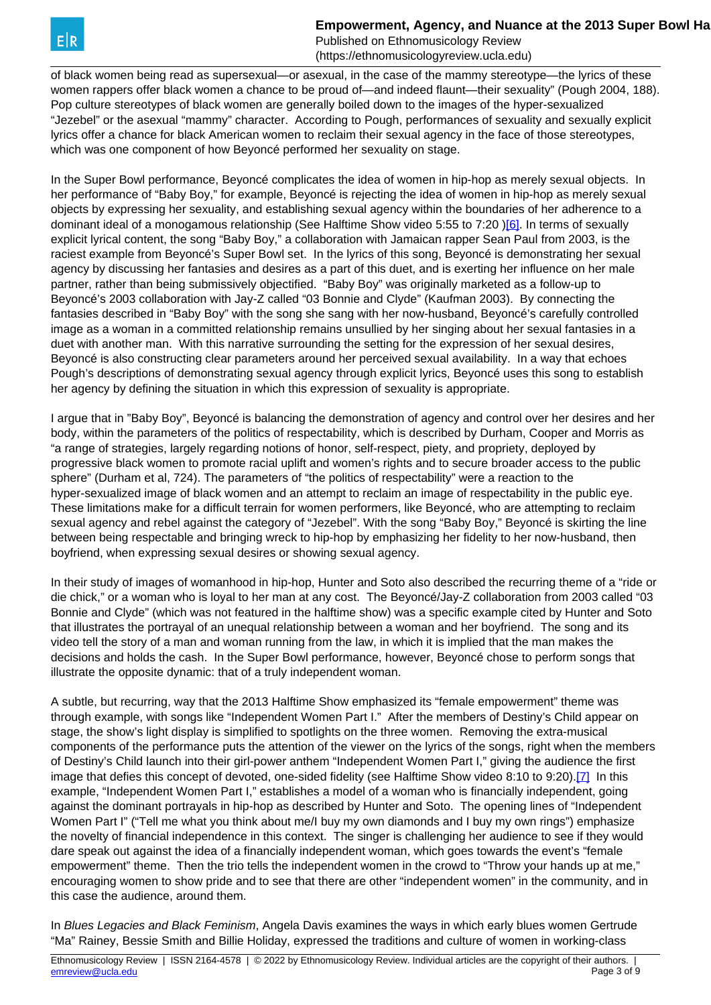**Empowerment, Agency, and Nuance at the 2013 Super Bowl Halby** 

Published on Ethnomusicology Review (https://ethnomusicologyreview.ucla.edu)

<span id="page-2-0"></span>of black women being read as supersexual—or asexual, in the case of the mammy stereotype—the lyrics of these women rappers offer black women a chance to be proud of—and indeed flaunt—their sexuality" (Pough 2004, 188). Pop culture stereotypes of black women are generally boiled down to the images of the hyper-sexualized "Jezebel" or the asexual "mammy" character. According to Pough, performances of sexuality and sexually explicit lyrics offer a chance for black American women to reclaim their sexual agency in the face of those stereotypes, which was one component of how Beyoncé performed her sexuality on stage.

In the Super Bowl performance, Beyoncé complicates the idea of women in hip-hop as merely sexual objects. In her performance of "Baby Boy," for example, Beyoncé is rejecting the idea of women in hip-hop as merely sexual objects by expressing her sexuality, and establishing sexual agency within the boundaries of her adherence to a dominant ideal of a monogamous relationship (See Halftime Show video 5:55 to 7:20 )[\[6\].](#page-2-0) In terms of sexually explicit lyrical content, the song "Baby Boy," a collaboration with Jamaican rapper Sean Paul from 2003, is the raciest example from Beyoncé's Super Bowl set. In the lyrics of this song, Beyoncé is demonstrating her sexual agency by discussing her fantasies and desires as a part of this duet, and is exerting her influence on her male partner, rather than being submissively objectified. "Baby Boy" was originally marketed as a follow-up to Beyoncé's 2003 collaboration with Jay-Z called "03 Bonnie and Clyde" (Kaufman 2003). By connecting the fantasies described in "Baby Boy" with the song she sang with her now-husband, Beyoncé's carefully controlled image as a woman in a committed relationship remains unsullied by her singing about her sexual fantasies in a duet with another man. With this narrative surrounding the setting for the expression of her sexual desires, Beyoncé is also constructing clear parameters around her perceived sexual availability. In a way that echoes Pough's descriptions of demonstrating sexual agency through explicit lyrics, Beyoncé uses this song to establish her agency by defining the situation in which this expression of sexuality is appropriate.

I argue that in "Baby Boy", Beyoncé is balancing the demonstration of agency and control over her desires and her body, within the parameters of the politics of respectability, which is described by Durham, Cooper and Morris as "a range of strategies, largely regarding notions of honor, self-respect, piety, and propriety, deployed by progressive black women to promote racial uplift and women's rights and to secure broader access to the public sphere" (Durham et al, 724). The parameters of "the politics of respectability" were a reaction to the hyper-sexualized image of black women and an attempt to reclaim an image of respectability in the public eye. These limitations make for a difficult terrain for women performers, like Beyoncé, who are attempting to reclaim sexual agency and rebel against the category of "Jezebel". With the song "Baby Boy," Beyoncé is skirting the line between being respectable and bringing wreck to hip-hop by emphasizing her fidelity to her now-husband, then boyfriend, when expressing sexual desires or showing sexual agency.

In their study of images of womanhood in hip-hop, Hunter and Soto also described the recurring theme of a "ride or die chick," or a woman who is loyal to her man at any cost. The Beyoncé/Jay-Z collaboration from 2003 called "03 Bonnie and Clyde" (which was not featured in the halftime show) was a specific example cited by Hunter and Soto that illustrates the portrayal of an unequal relationship between a woman and her boyfriend. The song and its video tell the story of a man and woman running from the law, in which it is implied that the man makes the decisions and holds the cash. In the Super Bowl performance, however, Beyoncé chose to perform songs that illustrate the opposite dynamic: that of a truly independent woman.

A subtle, but recurring, way that the 2013 Halftime Show emphasized its "female empowerment" theme was through example, with songs like "Independent Women Part I." After the members of Destiny's Child appear on stage, the show's light display is simplified to spotlights on the three women. Removing the extra-musical components of the performance puts the attention of the viewer on the lyrics of the songs, right when the members of Destiny's Child launch into their girl-power anthem "Independent Women Part I," giving the audience the first image that defies this concept of devoted, one-sided fidelity (see Halftime Show video 8:10 to 9:20).<sup>[7]</sup> In this example, "Independent Women Part I," establishes a model of a woman who is financially independent, going against the dominant portrayals in hip-hop as described by Hunter and Soto. The opening lines of "Independent Women Part I" ("Tell me what you think about me/I buy my own diamonds and I buy my own rings") emphasize the novelty of financial independence in this context. The singer is challenging her audience to see if they would dare speak out against the idea of a financially independent woman, which goes towards the event's "female empowerment" theme. Then the trio tells the independent women in the crowd to "Throw your hands up at me," encouraging women to show pride and to see that there are other "independent women" in the community, and in this case the audience, around them.

In Blues Legacies and Black Feminism, Angela Davis examines the ways in which early blues women Gertrude "Ma" Rainey, Bessie Smith and Billie Holiday, expressed the traditions and culture of women in working-class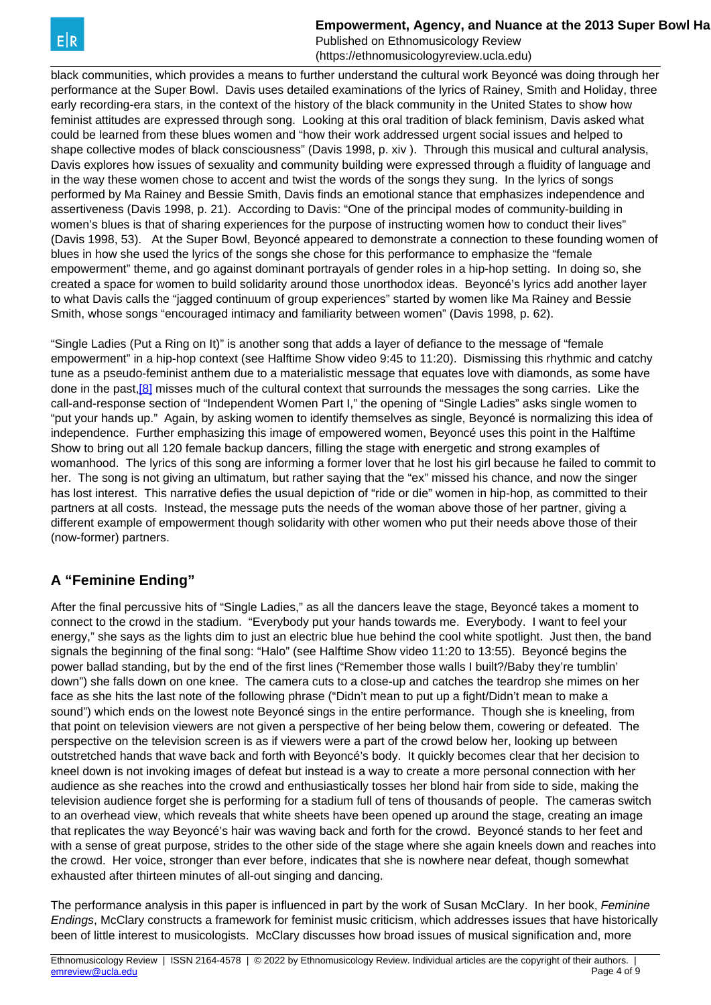**Empowerment, Agency, and Nuance at the 2013 Super Bowl Halby** 

Published on Ethnomusicology Review (https://ethnomusicologyreview.ucla.edu)

<span id="page-3-0"></span>black communities, which provides a means to further understand the cultural work Beyoncé was doing through her performance at the Super Bowl. Davis uses detailed examinations of the lyrics of Rainey, Smith and Holiday, three early recording-era stars, in the context of the history of the black community in the United States to show how feminist attitudes are expressed through song. Looking at this oral tradition of black feminism, Davis asked what could be learned from these blues women and "how their work addressed urgent social issues and helped to shape collective modes of black consciousness" (Davis 1998, p. xiv ). Through this musical and cultural analysis, Davis explores how issues of sexuality and community building were expressed through a fluidity of language and in the way these women chose to accent and twist the words of the songs they sung. In the lyrics of songs performed by Ma Rainey and Bessie Smith, Davis finds an emotional stance that emphasizes independence and assertiveness (Davis 1998, p. 21). According to Davis: "One of the principal modes of community-building in women's blues is that of sharing experiences for the purpose of instructing women how to conduct their lives" (Davis 1998, 53). At the Super Bowl, Beyoncé appeared to demonstrate a connection to these founding women of blues in how she used the lyrics of the songs she chose for this performance to emphasize the "female empowerment" theme, and go against dominant portrayals of gender roles in a hip-hop setting. In doing so, she created a space for women to build solidarity around those unorthodox ideas. Beyoncé's lyrics add another layer to what Davis calls the "jagged continuum of group experiences" started by women like Ma Rainey and Bessie Smith, whose songs "encouraged intimacy and familiarity between women" (Davis 1998, p. 62).

"Single Ladies (Put a Ring on It)" is another song that adds a layer of defiance to the message of "female empowerment" in a hip-hop context (see Halftime Show video 9:45 to 11:20). Dismissing this rhythmic and catchy tune as a pseudo-feminist anthem due to a materialistic message that equates love with diamonds, as some have done in the past[,\[8\]](#page-3-0) misses much of the cultural context that surrounds the messages the song carries. Like the call-and-response section of "Independent Women Part I," the opening of "Single Ladies" asks single women to "put your hands up." Again, by asking women to identify themselves as single, Beyoncé is normalizing this idea of independence. Further emphasizing this image of empowered women, Beyoncé uses this point in the Halftime Show to bring out all 120 female backup dancers, filling the stage with energetic and strong examples of womanhood. The lyrics of this song are informing a former lover that he lost his girl because he failed to commit to her. The song is not giving an ultimatum, but rather saying that the "ex" missed his chance, and now the singer has lost interest. This narrative defies the usual depiction of "ride or die" women in hip-hop, as committed to their partners at all costs. Instead, the message puts the needs of the woman above those of her partner, giving a different example of empowerment though solidarity with other women who put their needs above those of their (now-former) partners.

## **A "Feminine Ending"**

After the final percussive hits of "Single Ladies," as all the dancers leave the stage, Beyoncé takes a moment to connect to the crowd in the stadium. "Everybody put your hands towards me. Everybody. I want to feel your energy," she says as the lights dim to just an electric blue hue behind the cool white spotlight. Just then, the band signals the beginning of the final song: "Halo" (see Halftime Show video 11:20 to 13:55). Beyoncé begins the power ballad standing, but by the end of the first lines ("Remember those walls I built?/Baby they're tumblin' down") she falls down on one knee. The camera cuts to a close-up and catches the teardrop she mimes on her face as she hits the last note of the following phrase ("Didn't mean to put up a fight/Didn't mean to make a sound") which ends on the lowest note Beyoncé sings in the entire performance. Though she is kneeling, from that point on television viewers are not given a perspective of her being below them, cowering or defeated. The perspective on the television screen is as if viewers were a part of the crowd below her, looking up between outstretched hands that wave back and forth with Beyoncé's body. It quickly becomes clear that her decision to kneel down is not invoking images of defeat but instead is a way to create a more personal connection with her audience as she reaches into the crowd and enthusiastically tosses her blond hair from side to side, making the television audience forget she is performing for a stadium full of tens of thousands of people. The cameras switch to an overhead view, which reveals that white sheets have been opened up around the stage, creating an image that replicates the way Beyoncé's hair was waving back and forth for the crowd. Beyoncé stands to her feet and with a sense of great purpose, strides to the other side of the stage where she again kneels down and reaches into the crowd. Her voice, stronger than ever before, indicates that she is nowhere near defeat, though somewhat exhausted after thirteen minutes of all-out singing and dancing.

The performance analysis in this paper is influenced in part by the work of Susan McClary. In her book, Feminine Endings, McClary constructs a framework for feminist music criticism, which addresses issues that have historically been of little interest to musicologists. McClary discusses how broad issues of musical signification and, more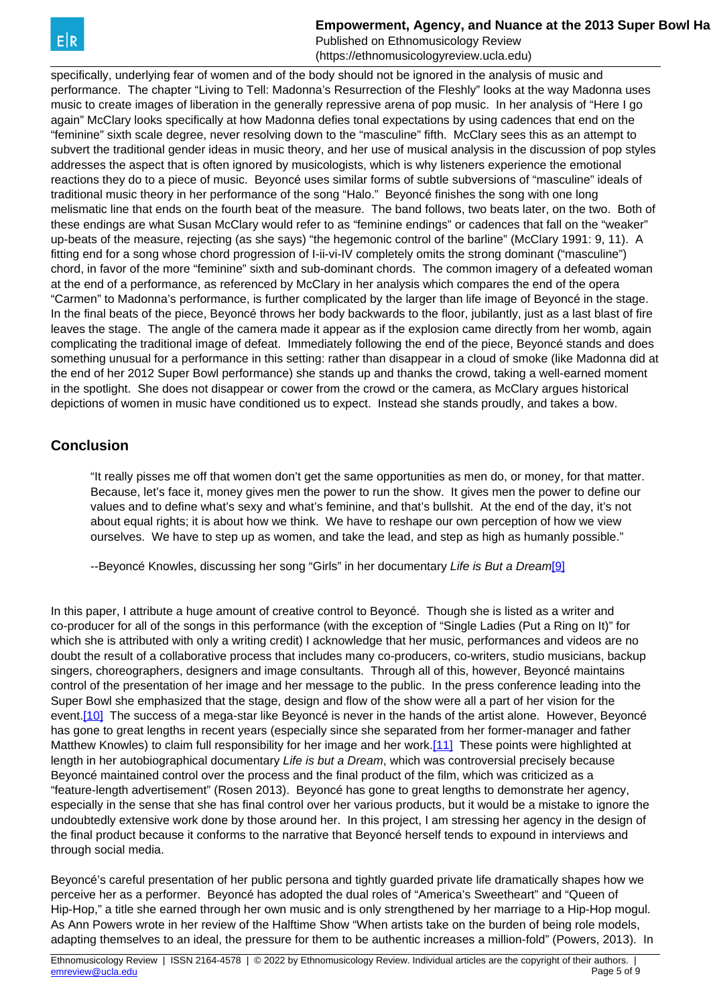**Empowerment, Agency, and Nuance at the 2013 Super Bowl Halby** 

Published on Ethnomusicology Review (https://ethnomusicologyreview.ucla.edu)

<span id="page-4-0"></span>specifically, underlying fear of women and of the body should not be ignored in the analysis of music and performance. The chapter "Living to Tell: Madonna's Resurrection of the Fleshly" looks at the way Madonna uses music to create images of liberation in the generally repressive arena of pop music. In her analysis of "Here I go again" McClary looks specifically at how Madonna defies tonal expectations by using cadences that end on the "feminine" sixth scale degree, never resolving down to the "masculine" fifth. McClary sees this as an attempt to subvert the traditional gender ideas in music theory, and her use of musical analysis in the discussion of pop styles addresses the aspect that is often ignored by musicologists, which is why listeners experience the emotional reactions they do to a piece of music. Beyoncé uses similar forms of subtle subversions of "masculine" ideals of traditional music theory in her performance of the song "Halo." Beyoncé finishes the song with one long melismatic line that ends on the fourth beat of the measure. The band follows, two beats later, on the two. Both of these endings are what Susan McClary would refer to as "feminine endings" or cadences that fall on the "weaker" up-beats of the measure, rejecting (as she says) "the hegemonic control of the barline" (McClary 1991: 9, 11). A fitting end for a song whose chord progression of I-ii-vi-IV completely omits the strong dominant ("masculine") chord, in favor of the more "feminine" sixth and sub-dominant chords. The common imagery of a defeated woman at the end of a performance, as referenced by McClary in her analysis which compares the end of the opera "Carmen" to Madonna's performance, is further complicated by the larger than life image of Beyoncé in the stage. In the final beats of the piece, Beyoncé throws her body backwards to the floor, jubilantly, just as a last blast of fire leaves the stage. The angle of the camera made it appear as if the explosion came directly from her womb, again complicating the traditional image of defeat. Immediately following the end of the piece, Beyoncé stands and does something unusual for a performance in this setting: rather than disappear in a cloud of smoke (like Madonna did at the end of her 2012 Super Bowl performance) she stands up and thanks the crowd, taking a well-earned moment in the spotlight. She does not disappear or cower from the crowd or the camera, as McClary argues historical depictions of women in music have conditioned us to expect. Instead she stands proudly, and takes a bow.

### **Conclusion**

"It really pisses me off that women don't get the same opportunities as men do, or money, for that matter. Because, let's face it, money gives men the power to run the show. It gives men the power to define our values and to define what's sexy and what's feminine, and that's bullshit. At the end of the day, it's not about equal rights; it is about how we think. We have to reshape our own perception of how we view ourselves. We have to step up as women, and take the lead, and step as high as humanly possible."

--Beyoncé Knowles, discussing her song "Girls" in her documentary Life is But a Dream[\[9\]](#page-4-0)

In this paper, I attribute a huge amount of creative control to Beyoncé. Though she is listed as a writer and co-producer for all of the songs in this performance (with the exception of "Single Ladies (Put a Ring on It)" for which she is attributed with only a writing credit) I acknowledge that her music, performances and videos are no doubt the result of a collaborative process that includes many co-producers, co-writers, studio musicians, backup singers, choreographers, designers and image consultants. Through all of this, however, Beyoncé maintains control of the presentation of her image and her message to the public. In the press conference leading into the Super Bowl she emphasized that the stage, design and flow of the show were all a part of her vision for the event.[\[10\]](#page-4-0) The success of a mega-star like Beyoncé is never in the hands of the artist alone. However, Beyoncé has gone to great lengths in recent years (especially since she separated from her former-manager and father Matthew Knowles) to claim full responsibility for her image and her work.[\[11\]](#page-4-0) These points were highlighted at length in her autobiographical documentary Life is but a Dream, which was controversial precisely because Beyoncé maintained control over the process and the final product of the film, which was criticized as a "feature-length advertisement" (Rosen 2013). Beyoncé has gone to great lengths to demonstrate her agency, especially in the sense that she has final control over her various products, but it would be a mistake to ignore the undoubtedly extensive work done by those around her. In this project, I am stressing her agency in the design of the final product because it conforms to the narrative that Beyoncé herself tends to expound in interviews and through social media.

Beyoncé's careful presentation of her public persona and tightly guarded private life dramatically shapes how we perceive her as a performer. Beyoncé has adopted the dual roles of "America's Sweetheart" and "Queen of Hip-Hop," a title she earned through her own music and is only strengthened by her marriage to a Hip-Hop mogul. As Ann Powers wrote in her review of the Halftime Show "When artists take on the burden of being role models, adapting themselves to an ideal, the pressure for them to be authentic increases a million-fold" (Powers, 2013). In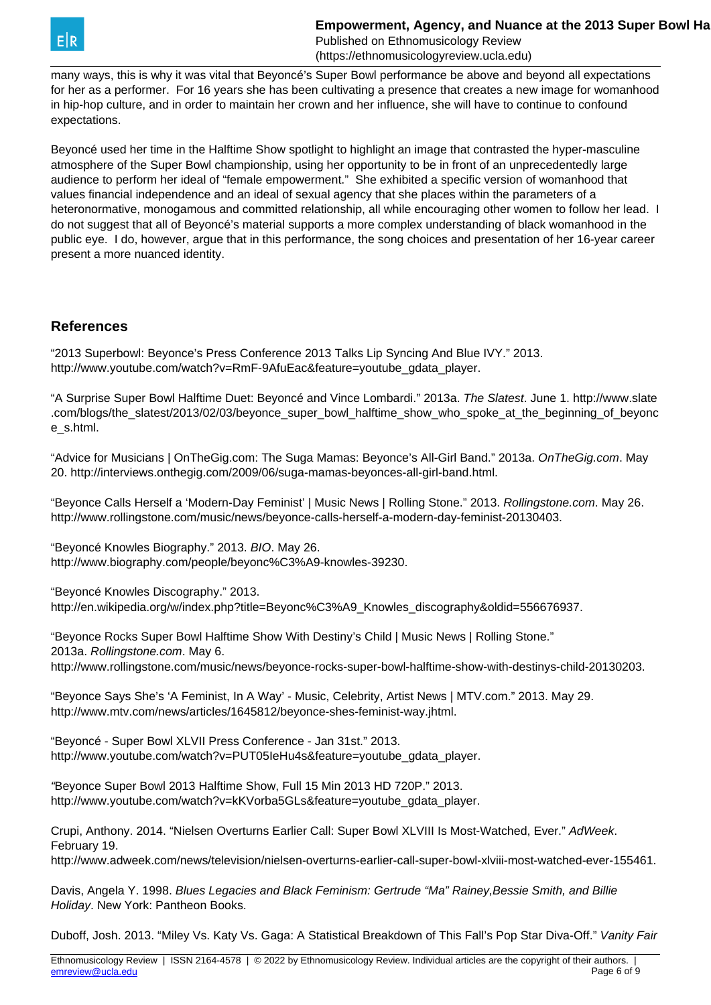

(https://ethnomusicologyreview.ucla.edu)

many ways, this is why it was vital that Beyoncé's Super Bowl performance be above and beyond all expectations for her as a performer. For 16 years she has been cultivating a presence that creates a new image for womanhood in hip-hop culture, and in order to maintain her crown and her influence, she will have to continue to confound expectations.

Beyoncé used her time in the Halftime Show spotlight to highlight an image that contrasted the hyper-masculine atmosphere of the Super Bowl championship, using her opportunity to be in front of an unprecedentedly large audience to perform her ideal of "female empowerment." She exhibited a specific version of womanhood that values financial independence and an ideal of sexual agency that she places within the parameters of a heteronormative, monogamous and committed relationship, all while encouraging other women to follow her lead. I do not suggest that all of Beyoncé's material supports a more complex understanding of black womanhood in the public eye. I do, however, argue that in this performance, the song choices and presentation of her 16-year career present a more nuanced identity.

### **References**

"2013 Superbowl: Beyonce's Press Conference 2013 Talks Lip Syncing And Blue IVY." 2013. http://www.youtube.com/watch?v=RmF-9AfuEac&feature=youtube\_gdata\_player.

"A Surprise Super Bowl Halftime Duet: Beyoncé and Vince Lombardi." 2013a. The Slatest. June 1. http://www.slate .com/blogs/the\_slatest/2013/02/03/beyonce\_super\_bowl\_halftime\_show\_who\_spoke\_at\_the\_beginning\_of\_beyonc e\_s.html.

"Advice for Musicians | OnTheGig.com: The Suga Mamas: Beyonce's All-Girl Band." 2013a. OnTheGig.com. May 20. http://interviews.onthegig.com/2009/06/suga-mamas-beyonces-all-girl-band.html.

"Beyonce Calls Herself a 'Modern-Day Feminist' | Music News | Rolling Stone." 2013. Rollingstone.com. May 26. http://www.rollingstone.com/music/news/beyonce-calls-herself-a-modern-day-feminist-20130403.

"Beyoncé Knowles Biography." 2013. BIO. May 26. http://www.biography.com/people/beyonc%C3%A9-knowles-39230.

"Beyoncé Knowles Discography." 2013. http://en.wikipedia.org/w/index.php?title=Beyonc%C3%A9\_Knowles\_discography&oldid=556676937.

"Beyonce Rocks Super Bowl Halftime Show With Destiny's Child | Music News | Rolling Stone." 2013a. Rollingstone.com. May 6.

http://www.rollingstone.com/music/news/beyonce-rocks-super-bowl-halftime-show-with-destinys-child-20130203.

"Beyonce Says She's 'A Feminist, In A Way' - Music, Celebrity, Artist News | MTV.com." 2013. May 29. http://www.mtv.com/news/articles/1645812/beyonce-shes-feminist-way.jhtml.

"Beyoncé - Super Bowl XLVII Press Conference - Jan 31st." 2013. http://www.youtube.com/watch?v=PUT05IeHu4s&feature=youtube\_gdata\_player.

"Beyonce Super Bowl 2013 Halftime Show, Full 15 Min 2013 HD 720P." 2013. http://www.youtube.com/watch?v=kKVorba5GLs&feature=youtube\_gdata\_player.

Crupi, Anthony. 2014. "Nielsen Overturns Earlier Call: Super Bowl XLVIII Is Most-Watched, Ever." AdWeek. February 19.

http://www.adweek.com/news/television/nielsen-overturns-earlier-call-super-bowl-xlviii-most-watched-ever-155461.

Davis, Angela Y. 1998. Blues Legacies and Black Feminism: Gertrude "Ma" Rainey, Bessie Smith, and Billie Holiday. New York: Pantheon Books.

Duboff, Josh. 2013. "Miley Vs. Katy Vs. Gaga: A Statistical Breakdown of This Fall's Pop Star Diva-Off." Vanity Fair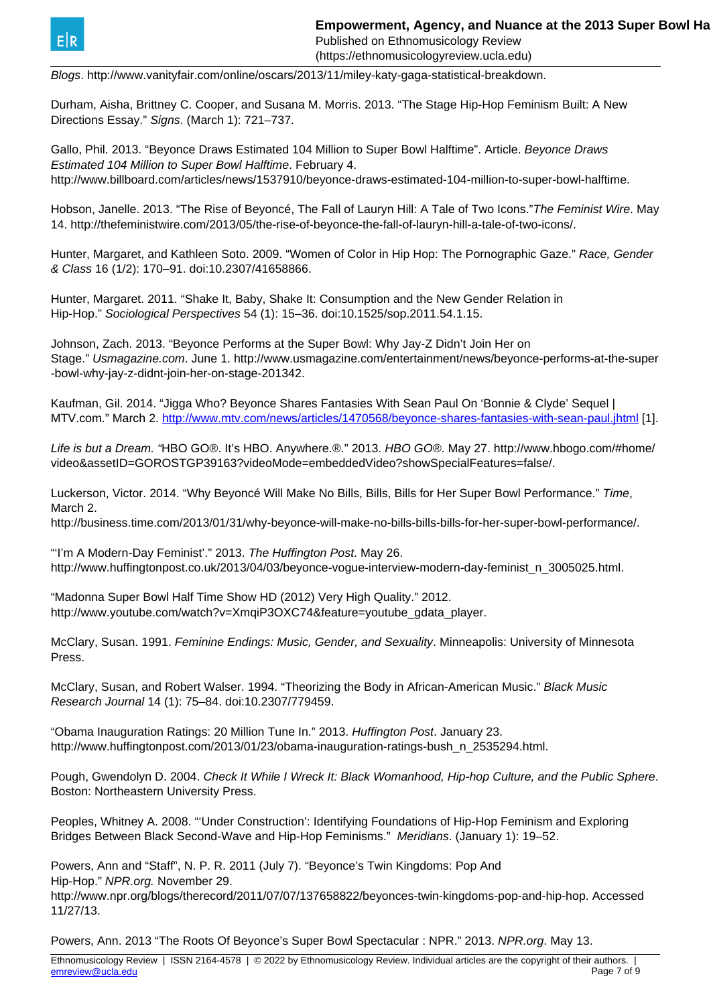

(https://ethnomusicologyreview.ucla.edu)

Blogs. http://www.vanityfair.com/online/oscars/2013/11/miley-katy-gaga-statistical-breakdown.

Durham, Aisha, Brittney C. Cooper, and Susana M. Morris. 2013. "The Stage Hip-Hop Feminism Built: A New Directions Essay." Signs. (March 1): 721–737.

Gallo, Phil. 2013. "Beyonce Draws Estimated 104 Million to Super Bowl Halftime". Article. Beyonce Draws Estimated 104 Million to Super Bowl Halftime. February 4. http://www.billboard.com/articles/news/1537910/beyonce-draws-estimated-104-million-to-super-bowl-halftime.

Hobson, Janelle. 2013. "The Rise of Beyoncé, The Fall of Lauryn Hill: A Tale of Two Icons."The Feminist Wire. May 14. http://thefeministwire.com/2013/05/the-rise-of-beyonce-the-fall-of-lauryn-hill-a-tale-of-two-icons/.

Hunter, Margaret, and Kathleen Soto. 2009. "Women of Color in Hip Hop: The Pornographic Gaze." Race, Gender & Class 16 (1/2): 170–91. doi:10.2307/41658866.

Hunter, Margaret. 2011. "Shake It, Baby, Shake It: Consumption and the New Gender Relation in Hip-Hop." Sociological Perspectives 54 (1): 15–36. doi:10.1525/sop.2011.54.1.15.

Johnson, Zach. 2013. "Beyonce Performs at the Super Bowl: Why Jay-Z Didn't Join Her on Stage." Usmagazine.com. June 1. http://www.usmagazine.com/entertainment/news/beyonce-performs-at-the-super -bowl-why-jay-z-didnt-join-her-on-stage-201342.

Kaufman, Gil. 2014. "Jigga Who? Beyonce Shares Fantasies With Sean Paul On 'Bonnie & Clyde' Sequel | MTV.com." March 2. <http://www.mtv.com/news/articles/1470568/beyonce-shares-fantasies-with-sean-paul.jhtml> [1].

Life is but a Dream. "HBO GO®. It's HBO. Anywhere.®." 2013. HBO GO®. May 27. http://www.hbogo.com/#home/ video&assetID=GOROSTGP39163?videoMode=embeddedVideo?showSpecialFeatures=false/.

Luckerson, Victor. 2014. "Why Beyoncé Will Make No Bills, Bills, Bills for Her Super Bowl Performance." Time, March 2.

http://business.time.com/2013/01/31/why-beyonce-will-make-no-bills-bills-bills-for-her-super-bowl-performance/.

"'I'm A Modern-Day Feminist'." 2013. The Huffington Post. May 26. http://www.huffingtonpost.co.uk/2013/04/03/beyonce-vogue-interview-modern-day-feminist\_n\_3005025.html.

"Madonna Super Bowl Half Time Show HD (2012) Very High Quality." 2012. http://www.youtube.com/watch?v=XmqiP3OXC74&feature=youtube\_gdata\_player.

McClary, Susan. 1991. Feminine Endings: Music, Gender, and Sexuality. Minneapolis: University of Minnesota Press.

McClary, Susan, and Robert Walser. 1994. "Theorizing the Body in African-American Music." Black Music Research Journal 14 (1): 75–84. doi:10.2307/779459.

"Obama Inauguration Ratings: 20 Million Tune In." 2013. Huffington Post. January 23. http://www.huffingtonpost.com/2013/01/23/obama-inauguration-ratings-bush\_n\_2535294.html.

Pough, Gwendolyn D. 2004. Check It While I Wreck It: Black Womanhood, Hip-hop Culture, and the Public Sphere. Boston: Northeastern University Press.

Peoples, Whitney A. 2008. "'Under Construction': Identifying Foundations of Hip-Hop Feminism and Exploring Bridges Between Black Second-Wave and Hip-Hop Feminisms." Meridians. (January 1): 19–52.

Powers, Ann and "Staff", N. P. R. 2011 (July 7). "Beyonce's Twin Kingdoms: Pop And Hip-Hop." NPR.org. November 29.

http://www.npr.org/blogs/therecord/2011/07/07/137658822/beyonces-twin-kingdoms-pop-and-hip-hop. Accessed 11/27/13.

Powers, Ann. 2013 "The Roots Of Beyonce's Super Bowl Spectacular : NPR." 2013. NPR.org. May 13.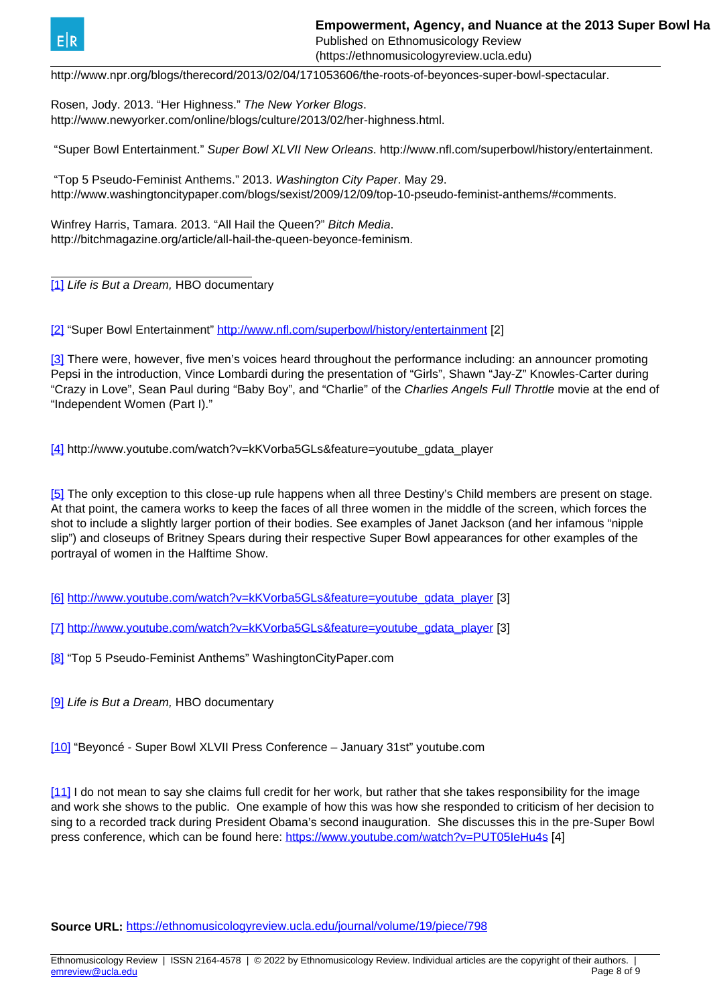<span id="page-7-0"></span>

Published on Ethnomusicology Review (https://ethnomusicologyreview.ucla.edu)

http://www.npr.org/blogs/therecord/2013/02/04/171053606/the-roots-of-beyonces-super-bowl-spectacular.

Rosen, Jody. 2013. "Her Highness." The New Yorker Blogs. http://www.newyorker.com/online/blogs/culture/2013/02/her-highness.html.

"Super Bowl Entertainment." Super Bowl XLVII New Orleans. http://www.nfl.com/superbowl/history/entertainment.

 "Top 5 Pseudo-Feminist Anthems." 2013. Washington City Paper. May 29. http://www.washingtoncitypaper.com/blogs/sexist/2009/12/09/top-10-pseudo-feminist-anthems/#comments.

Winfrey Harris, Tamara. 2013. "All Hail the Queen?" Bitch Media. http://bitchmagazine.org/article/all-hail-the-queen-beyonce-feminism.

[\[1\]](#page-7-0) Life is But a Dream, HBO documentary

[\[2\]](#page-7-0) "Super Bowl Entertainment"<http://www.nfl.com/superbowl/history/entertainment> [2]

[\[3\]](#page-7-0) There were, however, five men's voices heard throughout the performance including: an announcer promoting Pepsi in the introduction, Vince Lombardi during the presentation of "Girls", Shawn "Jay-Z" Knowles-Carter during "Crazy in Love", Sean Paul during "Baby Boy", and "Charlie" of the Charlies Angels Full Throttle movie at the end of "Independent Women (Part I)."

[\[4\]](#page-7-0) http://www.youtube.com/watch?v=kKVorba5GLs&feature=youtube\_gdata\_player

[\[5\]](#page-7-0) The only exception to this close-up rule happens when all three Destiny's Child members are present on stage. At that point, the camera works to keep the faces of all three women in the middle of the screen, which forces the shot to include a slightly larger portion of their bodies. See examples of Janet Jackson (and her infamous "nipple slip") and closeups of Britney Spears during their respective Super Bowl appearances for other examples of the portrayal of women in the Halftime Show.

[\[6\]](#page-7-0) [http://www.youtube.com/watch?v=kKVorba5GLs&feature=youtube\\_gdata\\_player](http://www.youtube.com/watch?v=kKVorba5GLs&feature=youtube_gdata_player) [3]

[\[7\]](#page-7-0) [http://www.youtube.com/watch?v=kKVorba5GLs&feature=youtube\\_gdata\\_player](http://www.youtube.com/watch?v=kKVorba5GLs&feature=youtube_gdata_player) [3]

[\[8\]](#page-7-0) "Top 5 Pseudo-Feminist Anthems" WashingtonCityPaper.com

[\[9\]](#page-7-0) Life is But a Dream, HBO documentary

[\[10\]](#page-7-0) "Beyoncé - Super Bowl XLVII Press Conference – January 31st" youtube.com

[\[11\]](#page-7-0) I do not mean to say she claims full credit for her work, but rather that she takes responsibility for the image and work she shows to the public. One example of how this was how she responded to criticism of her decision to sing to a recorded track during President Obama's second inauguration. She discusses this in the pre-Super Bowl press conference, which can be found here:<https://www.youtube.com/watch?v=PUT05IeHu4s> [4]

**Source URL:** <https://ethnomusicologyreview.ucla.edu/journal/volume/19/piece/798>